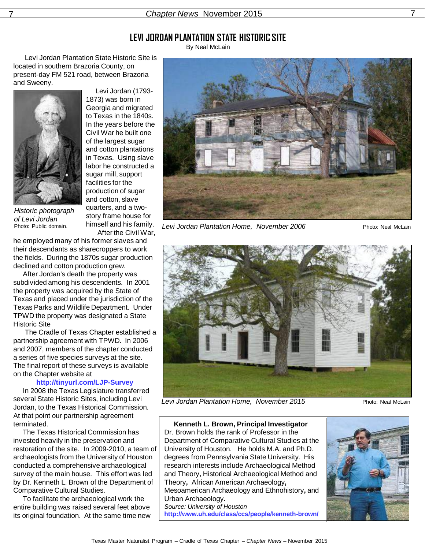## **LEVI JORDAN PLANTATION STATE HISTORIC SITE**

By Neal McLain

 Levi Jordan Plantation State Historic Site is located in southern Brazoria County, on present-day FM 521 road, between Brazoria and Sweeny.



Historic photograph of Levi Jordan Photo: Public domain.

 Levi Jordan (1793- 1873) was born in Georgia and migrated to Texas in the 1840s. In the years before the Civil War he built one of the largest sugar and cotton plantations in Texas. Using slave labor he constructed a sugar mill, support facilities for the production of sugar and cotton, slave quarters, and a twostory frame house for himself and his family. After the Civil War,

7 Chapter News November 2015 7

he employed many of his former slaves and their descendants as sharecroppers to work the fields. During the 1870s sugar production declined and cotton production grew.

 After Jordan's death the property was subdivided among his descendents. In 2001 the property was acquired by the State of Texas and placed under the jurisdiction of the Texas Parks and Wildlife Department. Under TPWD the property was designated a State Historic Site

 The Cradle of Texas Chapter established a partnership agreement with TPWD. In 2006 and 2007, members of the chapter conducted a series of five species surveys at the site. The final report of these surveys is available on the Chapter website at

#### **http://tinyurl.com/LJP-Survey**

 In 2008 the Texas Legislature transferred several State Historic Sites, including Levi Jordan, to the Texas Historical Commission. At that point our partnership agreement terminated.

 The Texas Historical Commission has invested heavily in the preservation and restoration of the site. In 2009-2010, a team of archaeologists from the University of Houston conducted a comprehensive archaeological survey of the main house. This effort was led by Dr. Kenneth L. Brown of the Department of Comparative Cultural Studies.

 To facilitate the archaeological work the entire building was raised several feet above its original foundation. At the same time new



Levi Jordan Plantation Home, November 2006Photo: Neal McLain



Levi Jordan Plantation Home, November 2015Photo: Neal McLain

 **Kenneth L. Brown, Principal Investigator** Dr. Brown holds the rank of Professor in the Department of Comparative Cultural Studies at the University of Houston. He holds M.A. and Ph.D. degrees from Pennsylvania State University. His research interests include Archaeological Method and Theory**,** Historical Archaeological Method and Theory**,** African American Archaeology**,** Mesoamerican Archaeology and Ethnohistory**,** and Urban Archaeology. Source: University of Houston **http://www.uh.edu/class/ccs/people/kenneth-brown/**